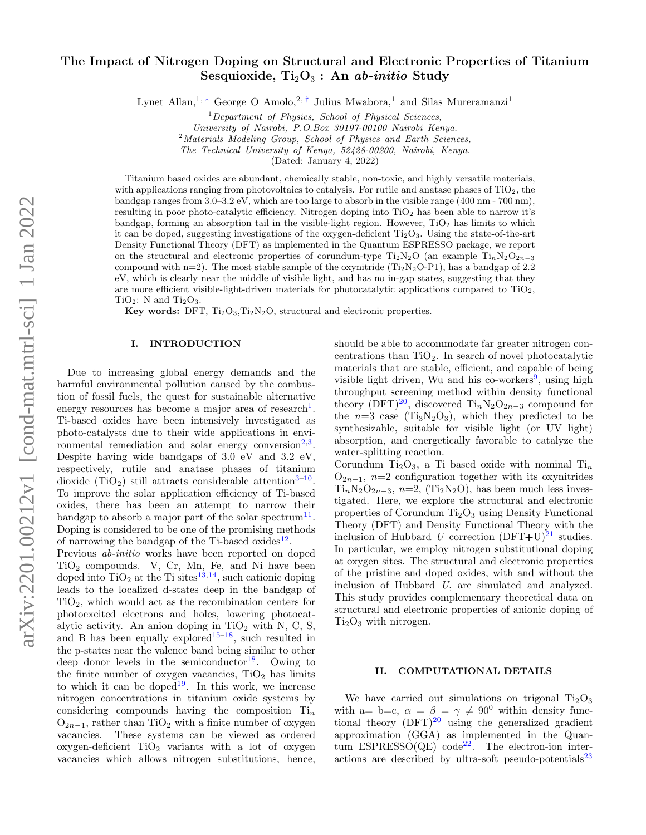# The Impact of Nitrogen Doping on Structural and Electronic Properties of Titanium Sesquioxide,  $Ti<sub>2</sub>O<sub>3</sub>$ : An ab-initio Study

Lynet Allan,<sup>1, [∗](#page-3-0)</sup> George O Amolo,<sup>2,[†](#page-3-1)</sup> Julius Mwabora,<sup>1</sup> and Silas Mureramanzi<sup>1</sup>

 $1$ Department of Physics, School of Physical Sciences,

University of Nairobi, P.O.Box 30197-00100 Nairobi Kenya.

<sup>2</sup>Materials Modeling Group, School of Physics and Earth Sciences,

The Technical University of Kenya, 52428-00200, Nairobi, Kenya.

(Dated: January 4, 2022)

Titanium based oxides are abundant, chemically stable, non-toxic, and highly versatile materials, with applications ranging from photovoltaics to catalysis. For rutile and anatase phases of  $TiO<sub>2</sub>$ , the bandgap ranges from 3.0–3.2 eV, which are too large to absorb in the visible range (400 nm - 700 nm), resulting in poor photo-catalytic efficiency. Nitrogen doping into  $TiO<sub>2</sub>$  has been able to narrow it's bandgap, forming an absorption tail in the visible-light region. However,  $TiO<sub>2</sub>$  has limits to which it can be doped, suggesting investigations of the oxygen-deficient  $Ti_2O_3$ . Using the state-of-the-art Density Functional Theory (DFT) as implemented in the Quantum ESPRESSO package, we report on the structural and electronic properties of corundum-type  $Ti_2N_2O$  (an example  $Ti_nN_2O_{2n-3}$ compound with n=2). The most stable sample of the oxynitride  $(Ti_2N_2O-P1)$ , has a bandgap of 2.2 eV, which is clearly near the middle of visible light, and has no in-gap states, suggesting that they are more efficient visible-light-driven materials for photocatalytic applications compared to  $TiO<sub>2</sub>$ ,  $TiO<sub>2</sub>:$  N and  $Ti<sub>2</sub>O<sub>3</sub>$ .

Key words: DFT,  $Ti<sub>2</sub>O<sub>3</sub>, Ti<sub>2</sub>N<sub>2</sub>O$ , structural and electronic properties.

## I. INTRODUCTION

Due to increasing global energy demands and the harmful environmental pollution caused by the combustion of fossil fuels, the quest for sustainable alternative energy resources has become a major area of research<sup>[1](#page-5-0)</sup>. Ti-based oxides have been intensively investigated as photo-catalysts due to their wide applications in environmental remediation and solar energy conversion $2,3$  $2,3$ . Despite having wide bandgaps of 3.0 eV and 3.2 eV, respectively, rutile and anatase phases of titanium dioxide (TiO<sub>2</sub>) still attracts considerable attention<sup>3-[10](#page-5-3)</sup>. To improve the solar application efficiency of Ti-based oxides, there has been an attempt to narrow their bandgap to absorb a major part of the solar spectrum<sup>[11](#page-5-4)</sup>. Doping is considered to be one of the promising methods of narrowing the bandgap of the Ti-based oxides<sup>[12](#page-5-5)</sup>.

Previous ab-initio works have been reported on doped  $TiO<sub>2</sub>$  compounds. V, Cr, Mn, Fe, and Ni have been doped into  $TiO<sub>2</sub>$  at the Ti sites<sup>[13](#page-5-6)[,14](#page-5-7)</sup>, such cationic doping leads to the localized d-states deep in the bandgap of TiO2, which would act as the recombination centers for photoexcited electrons and holes, lowering photocatalytic activity. An anion doping in  $TiO<sub>2</sub>$  with N, C, S, and B has been equally explored<sup>[15–](#page-5-8)[18](#page-5-9)</sup>, such resulted in the p-states near the valence band being similar to other deep donor levels in the semiconductor<sup>[18](#page-5-9)</sup>. Owing to the finite number of oxygen vacancies,  $TiO<sub>2</sub>$  has limits to which it can be doped<sup>[19](#page-5-10)</sup>. In this work, we increase nitrogen concentrations in titanium oxide systems by considering compounds having the composition  $Ti_n$  $O_{2n-1}$ , rather than TiO<sub>2</sub> with a finite number of oxygen vacancies. These systems can be viewed as ordered  $oxygen-deficient TiO<sub>2</sub> variants with a lot of oxygen$ vacancies which allows nitrogen substitutions, hence,

should be able to accommodate far greater nitrogen concentrations than  $TiO<sub>2</sub>$ . In search of novel photocatalytic materials that are stable, efficient, and capable of being visible light driven, Wu and his co-workers<sup>[9](#page-5-11)</sup>, using high throughput screening method within density functional theory (DFT)<sup>[20](#page-5-12)</sup>, discovered Ti<sub>n</sub>N<sub>2</sub>O<sub>2n−3</sub> compound for the  $n=3$  case (Ti<sub>3</sub>N<sub>2</sub>O<sub>3</sub>), which they predicted to be synthesizable, suitable for visible light (or UV light) absorption, and energetically favorable to catalyze the water-splitting reaction.

Corundum Ti<sub>2</sub>O<sub>3</sub>, a Ti based oxide with nominal Ti<sub>n</sub>  $O_{2n-1}$ , n=2 configuration together with its oxynitrides  $Ti_nN_2O_{2n-3}$ ,  $n=2$ , (Ti<sub>2</sub>N<sub>2</sub>O), has been much less investigated. Here, we explore the structural and electronic properties of Corundum  $Ti<sub>2</sub>O<sub>3</sub>$  using Density Functional Theory (DFT) and Density Functional Theory with the inclusion of Hubbard U correction  $(DFT+U)^{21}$  $(DFT+U)^{21}$  $(DFT+U)^{21}$  studies. In particular, we employ nitrogen substitutional doping at oxygen sites. The structural and electronic properties of the pristine and doped oxides, with and without the inclusion of Hubbard U, are simulated and analyzed. This study provides complementary theoretical data on structural and electronic properties of anionic doping of  $Ti<sub>2</sub>O<sub>3</sub>$  with nitrogen.

## II. COMPUTATIONAL DETAILS

We have carried out simulations on trigonal  $Ti<sub>2</sub>O<sub>3</sub>$ with a= b=c,  $\alpha = \beta = \gamma \neq 90^0$  within density functional theory  $(DFT)^{20}$  $(DFT)^{20}$  $(DFT)^{20}$  using the generalized gradient approximation (GGA) as implemented in the Quantum  $ESPRESSO(QE) code<sup>22</sup>$  $ESPRESSO(QE) code<sup>22</sup>$  $ESPRESSO(QE) code<sup>22</sup>$ . The electron-ion interactions are described by ultra-soft pseudo-potentials $^{23}$  $^{23}$  $^{23}$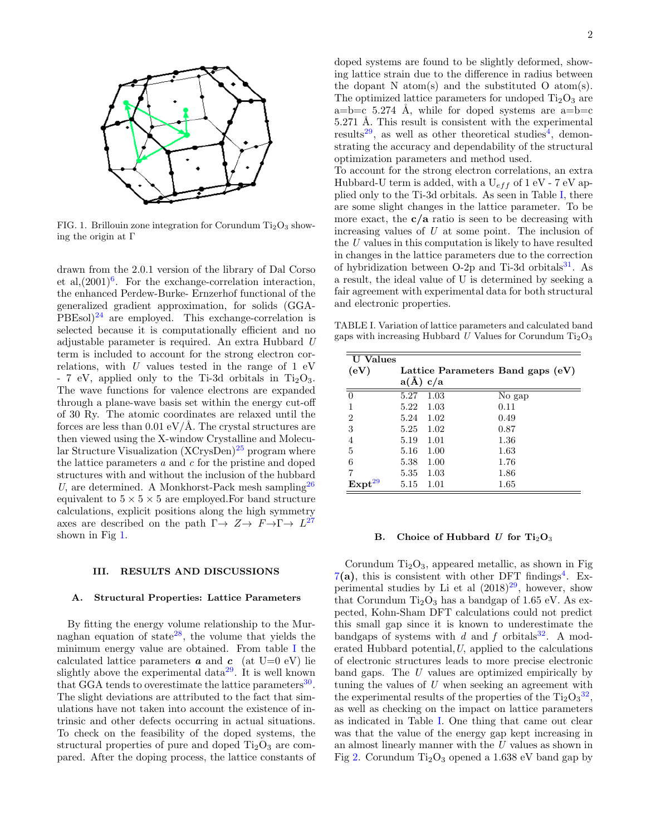

<span id="page-1-0"></span>FIG. 1. Brillouin zone integration for Corundum  $Ti<sub>2</sub>O<sub>3</sub>$  showing the origin at Γ

drawn from the 2.0.1 version of the library of Dal Corso et al, $(2001)^6$  $(2001)^6$ . For the exchange-correlation interaction, the enhanced Perdew-Burke- Ernzerhof functional of the generalized gradient approximation, for solids (GGA- $PBEsol$ <sup>[24](#page-5-17)</sup> are employed. This exchange-correlation is selected because it is computationally efficient and no adjustable parameter is required. An extra Hubbard U term is included to account for the strong electron correlations, with  $U$  values tested in the range of 1 eV  $-7$  eV, applied only to the Ti-3d orbitals in Ti<sub>2</sub>O<sub>3</sub>. The wave functions for valence electrons are expanded through a plane-wave basis set within the energy cut-off of 30 Ry. The atomic coordinates are relaxed until the forces are less than  $0.01 \text{ eV/A}$ . The crystal structures are then viewed using the X-window Crystalline and Molecular Structure Visualization  $(XCrysDen)^{25}$  $(XCrysDen)^{25}$  $(XCrysDen)^{25}$  program where the lattice parameters  $a$  and  $c$  for the pristine and doped structures with and without the inclusion of the hubbard U, are determined. A Monkhorst-Pack mesh sampling  $^{26}$  $^{26}$  $^{26}$ equivalent to  $5 \times 5 \times 5$  are employed. For band structure calculations, explicit positions along the high symmetry axes are described on the path  $\Gamma \rightarrow Z \rightarrow F \rightarrow \Gamma \rightarrow L^{27}$  $\Gamma \rightarrow Z \rightarrow F \rightarrow \Gamma \rightarrow L^{27}$  $\Gamma \rightarrow Z \rightarrow F \rightarrow \Gamma \rightarrow L^{27}$ shown in Fig [1.](#page-1-0)

# III. RESULTS AND DISCUSSIONS

#### A. Structural Properties: Lattice Parameters

By fitting the energy volume relationship to the Mur-naghan equation of state<sup>[28](#page-5-21)</sup>, the volume that yields the minimum energy value are obtained. From table [I](#page-1-1) the calculated lattice parameters  $\boldsymbol{a}$  and  $\boldsymbol{c}$  (at U=0 eV) lie slightly above the experimental data<sup>[29](#page-5-22)</sup>. It is well known that GGA tends to overestimate the lattice parameters<sup>[30](#page-5-23)</sup>. The slight deviations are attributed to the fact that simulations have not taken into account the existence of intrinsic and other defects occurring in actual situations. To check on the feasibility of the doped systems, the structural properties of pure and doped  $Ti<sub>2</sub>O<sub>3</sub>$  are compared. After the doping process, the lattice constants of doped systems are found to be slightly deformed, showing lattice strain due to the difference in radius between the dopant N atom(s) and the substituted O atom(s). The optimized lattice parameters for undoped  $Ti<sub>2</sub>O<sub>3</sub>$  are a=b=c 5.274 Å, while for doped systems are a=b=c 5.271 Å. This result is consistent with the experimental results<sup>[29](#page-5-22)</sup>, as well as other theoretical studies<sup>[4](#page-5-24)</sup>, demonstrating the accuracy and dependability of the structural optimization parameters and method used.

To account for the strong electron correlations, an extra Hubbard-U term is added, with a  $U_{eff}$  of 1 eV - 7 eV applied only to the Ti-3d orbitals. As seen in Table [I,](#page-1-1) there are some slight changes in the lattice parameter. To be more exact, the  $c/a$  ratio is seen to be decreasing with increasing values of  $U$  at some point. The inclusion of the U values in this computation is likely to have resulted in changes in the lattice parameters due to the correction of hybridization between  $O-2p$  and Ti-3d orbitals<sup>[31](#page-5-25)</sup>. As a result, the ideal value of U is determined by seeking a fair agreement with experimental data for both structural and electronic properties.

<span id="page-1-1"></span>TABLE I. Variation of lattice parameters and calculated band gaps with increasing Hubbard U Values for Corundum  $Ti<sub>2</sub>O<sub>3</sub>$ 

| <b>U</b> Values    |              |      |                                   |  |
|--------------------|--------------|------|-----------------------------------|--|
| (eV)               |              |      | Lattice Parameters Band gaps (eV) |  |
|                    | $a(\AA) c/a$ |      |                                   |  |
| $\overline{0}$     | 5.27         | 1.03 | No gap                            |  |
| 1                  | 5.22         | 1.03 | 0.11                              |  |
| $\overline{2}$     | 5.24         | 1.02 | 0.49                              |  |
| 3                  | 5.25         | 1.02 | 0.87                              |  |
| $\overline{4}$     | 5.19         | 1.01 | 1.36                              |  |
| $\overline{5}$     | 5.16         | 1.00 | 1.63                              |  |
| 6                  | 5.38         | 1.00 | 1.76                              |  |
| 7                  | 5.35         | 1.03 | 1.86                              |  |
| Expt <sup>29</sup> | 5.15         | 1.01 | 1.65                              |  |

#### B. Choice of Hubbard U for  $Ti<sub>2</sub>O<sub>3</sub>$

Corundum  $Ti<sub>2</sub>O<sub>3</sub>$ , appeared metallic, as shown in Fig  $7(a)$  $7(a)$ , this is consistent with other DFT findings<sup>[4](#page-5-24)</sup>. Experimental studies by Li et al  $(2018)^{29}$  $(2018)^{29}$  $(2018)^{29}$ , however, show that Corundum  $Ti<sub>2</sub>O<sub>3</sub>$  has a bandgap of 1.65 eV. As expected, Kohn-Sham DFT calculations could not predict this small gap since it is known to underestimate the bandgaps of systems with d and f orbitals<sup>[32](#page-5-26)</sup>. A moderated Hubbard potential,  $U$ , applied to the calculations of electronic structures leads to more precise electronic band gaps. The U values are optimized empirically by tuning the values of  $U$  when seeking an agreement with the experimental results of the properties of the  $\text{Ti}_2\text{O}_3^{\,32}$  $\text{Ti}_2\text{O}_3^{\,32}$  $\text{Ti}_2\text{O}_3^{\,32}$ , as well as checking on the impact on lattice parameters as indicated in Table [I.](#page-1-1) One thing that came out clear was that the value of the energy gap kept increasing in an almost linearly manner with the U values as shown in Fig [2.](#page-2-0) Corundum  $Ti<sub>2</sub>O<sub>3</sub>$  opened a 1.638 eV band gap by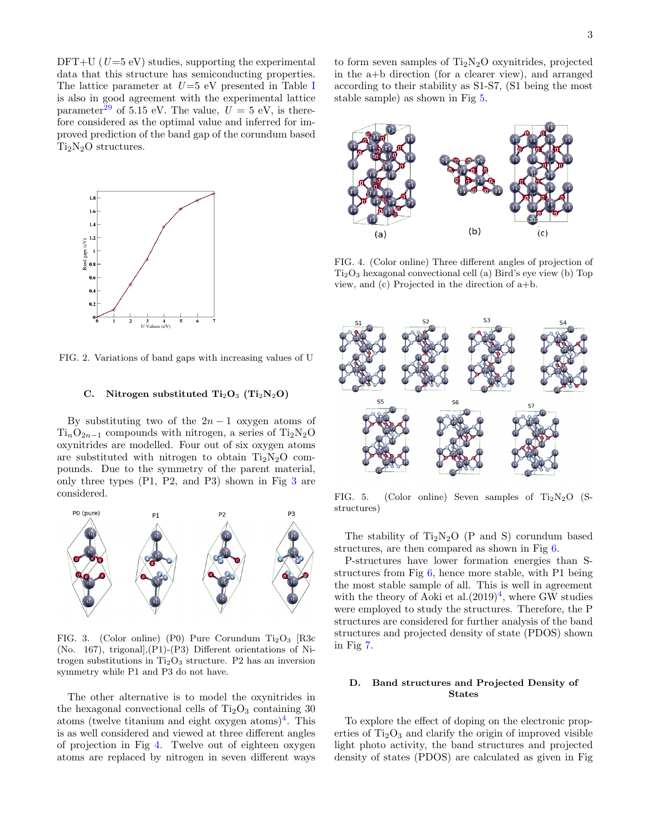$DFT+U$  ( $U=5$  eV) studies, supporting the experimental data that this structure has semiconducting properties. The lattice parameter at  $U=5$  eV presented in Table [I](#page-1-1) is also in good agreement with the experimental lattice parameter<sup>[29](#page-5-22)</sup> of 5.15 eV. The value,  $U = 5$  eV, is therefore considered as the optimal value and inferred for improved prediction of the band gap of the corundum based  $Ti<sub>2</sub>N<sub>2</sub>O$  structures.



<span id="page-2-0"></span>FIG. 2. Variations of band gaps with increasing values of U

## C. Nitrogen substituted  $Ti<sub>2</sub>O<sub>3</sub>$  (Ti<sub>2</sub>N<sub>2</sub>O)

By substituting two of the  $2n-1$  oxygen atoms of  $Ti_nO_{2n-1}$  compounds with nitrogen, a series of Ti<sub>2</sub>N<sub>2</sub>O oxynitrides are modelled. Four out of six oxygen atoms are substituted with nitrogen to obtain  $Ti<sub>2</sub>N<sub>2</sub>O$  compounds. Due to the symmetry of the parent material, only three types (P1, P2, and P3) shown in Fig [3](#page-2-1) are considered.



<span id="page-2-1"></span>FIG. 3. (Color online) (P0) Pure Corundum  $Ti<sub>2</sub>O<sub>3</sub>$  [R3c (No. 167), trigonal],(P1)-(P3) Different orientations of Nitrogen substitutions in  $Ti<sub>2</sub>O<sub>3</sub>$  structure. P2 has an inversion symmetry while P1 and P3 do not have.

The other alternative is to model the oxynitrides in the hexagonal convectional cells of  $Ti<sub>2</sub>O<sub>3</sub>$  containing 30 atoms (twelve titanium and eight oxygen atoms)<sup>[4](#page-5-24)</sup>. This is as well considered and viewed at three different angles of projection in Fig [4.](#page-2-2) Twelve out of eighteen oxygen atoms are replaced by nitrogen in seven different ways

to form seven samples of  $Ti<sub>2</sub>N<sub>2</sub>O$  oxynitrides, projected in the a+b direction (for a clearer view), and arranged according to their stability as S1-S7, (S1 being the most stable sample) as shown in Fig [5.](#page-2-3)



<span id="page-2-2"></span>FIG. 4. (Color online) Three different angles of projection of  $Ti<sub>2</sub>O<sub>3</sub>$  hexagonal convectional cell (a) Bird's eye view (b) Top view, and (c) Projected in the direction of a+b.



<span id="page-2-3"></span>FIG. 5. (Color online) Seven samples of  $Ti<sub>2</sub>N<sub>2</sub>O$  (Sstructures)

The stability of  $Ti<sub>2</sub>N<sub>2</sub>O$  (P and S) corundum based structures, are then compared as shown in Fig [6.](#page-3-2)

P-structures have lower formation energies than Sstructures from Fig [6,](#page-3-2) hence more stable, with P1 being the most stable sample of all. This is well in agreement with the theory of Aoki et al. $(2019)^4$  $(2019)^4$ , where GW studies were employed to study the structures. Therefore, the P structures are considered for further analysis of the band structures and projected density of state (PDOS) shown in Fig [7.](#page-4-0)

# D. Band structures and Projected Density of States

To explore the effect of doping on the electronic properties of  $Ti<sub>2</sub>O<sub>3</sub>$  and clarify the origin of improved visible light photo activity, the band structures and projected density of states (PDOS) are calculated as given in Fig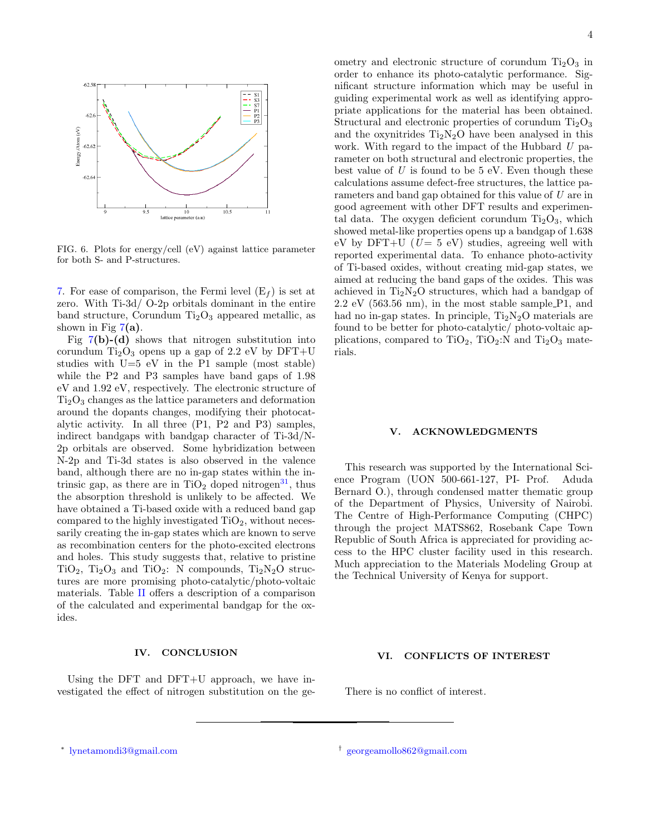

<span id="page-3-2"></span>FIG. 6. Plots for energy/cell (eV) against lattice parameter for both S- and P-structures.

[7.](#page-4-0) For ease of comparison, the Fermi level  $(E_f)$  is set at zero. With Ti-3d/ O-2p orbitals dominant in the entire band structure, Corundum  $Ti<sub>2</sub>O<sub>3</sub>$  appeared metallic, as shown in Fig  $7(a)$  $7(a)$ .

Fig  $7(b)-(d)$  $7(b)-(d)$  shows that nitrogen substitution into corundum  $Ti<sub>2</sub>O<sub>3</sub>$  opens up a gap of 2.2 eV by DFT+U studies with U=5 eV in the P1 sample (most stable) while the P2 and P3 samples have band gaps of 1.98 eV and 1.92 eV, respectively. The electronic structure of  $Ti<sub>2</sub>O<sub>3</sub>$  changes as the lattice parameters and deformation around the dopants changes, modifying their photocatalytic activity. In all three (P1, P2 and P3) samples, indirect bandgaps with bandgap character of Ti-3d/N-2p orbitals are observed. Some hybridization between N-2p and Ti-3d states is also observed in the valence band, although there are no in-gap states within the intrinsic gap, as there are in  $TiO<sub>2</sub>$  doped nitrogen<sup>[31](#page-5-25)</sup>, thus the absorption threshold is unlikely to be affected. We have obtained a Ti-based oxide with a reduced band gap compared to the highly investigated  $TiO<sub>2</sub>$ , without necessarily creating the in-gap states which are known to serve as recombination centers for the photo-excited electrons and holes. This study suggests that, relative to pristine  $TiO<sub>2</sub>$ ,  $Ti<sub>2</sub>O<sub>3</sub>$  and  $TiO<sub>2</sub>$ : N compounds,  $Ti<sub>2</sub>N<sub>2</sub>O$  structures are more promising photo-catalytic/photo-voltaic materials. Table [II](#page-4-1) offers a description of a comparison of the calculated and experimental bandgap for the oxides.

## IV. CONCLUSION

Using the DFT and DFT+U approach, we have investigated the effect of nitrogen substitution on the geometry and electronic structure of corundum  $Ti<sub>2</sub>O<sub>3</sub>$  in order to enhance its photo-catalytic performance. Significant structure information which may be useful in guiding experimental work as well as identifying appropriate applications for the material has been obtained. Structural and electronic properties of corundum  $Ti<sub>2</sub>O<sub>3</sub>$ and the oxynitrides  $Ti<sub>2</sub>N<sub>2</sub>O$  have been analysed in this work. With regard to the impact of the Hubbard  $U$  parameter on both structural and electronic properties, the best value of  $U$  is found to be 5 eV. Even though these calculations assume defect-free structures, the lattice parameters and band gap obtained for this value of U are in good agreement with other DFT results and experimental data. The oxygen deficient corundum  $Ti<sub>2</sub>O<sub>3</sub>$ , which showed metal-like properties opens up a bandgap of 1.638 eV by DFT+U ( $U = 5$  eV) studies, agreeing well with reported experimental data. To enhance photo-activity of Ti-based oxides, without creating mid-gap states, we aimed at reducing the band gaps of the oxides. This was achieved in  $Ti<sub>2</sub>N<sub>2</sub>O$  structures, which had a bandgap of  $2.2 \text{ eV}$  (563.56 nm), in the most stable sample P1, and had no in-gap states. In principle,  $Ti<sub>2</sub>N<sub>2</sub>O$  materials are found to be better for photo-catalytic/ photo-voltaic applications, compared to  $TiO<sub>2</sub>$ ,  $TiO<sub>2</sub>:N$  and  $Ti<sub>2</sub>O<sub>3</sub>$  materials.

#### V. ACKNOWLEDGMENTS

This research was supported by the International Science Program (UON 500-661-127, PI- Prof. Aduda Bernard O.), through condensed matter thematic group of the Department of Physics, University of Nairobi. The Centre of High-Performance Computing (CHPC) through the project MATS862, Rosebank Cape Town Republic of South Africa is appreciated for providing access to the HPC cluster facility used in this research. Much appreciation to the Materials Modeling Group at the Technical University of Kenya for support.

#### VI. CONFLICTS OF INTEREST

There is no conflict of interest.

<span id="page-3-0"></span><sup>∗</sup> [lynetamondi3@gmail.com](mailto:lynetamondi3@gmail.com) †

<span id="page-3-1"></span>[georgeamollo862@gmail.com](mailto:georgeamollo862@gmail.com)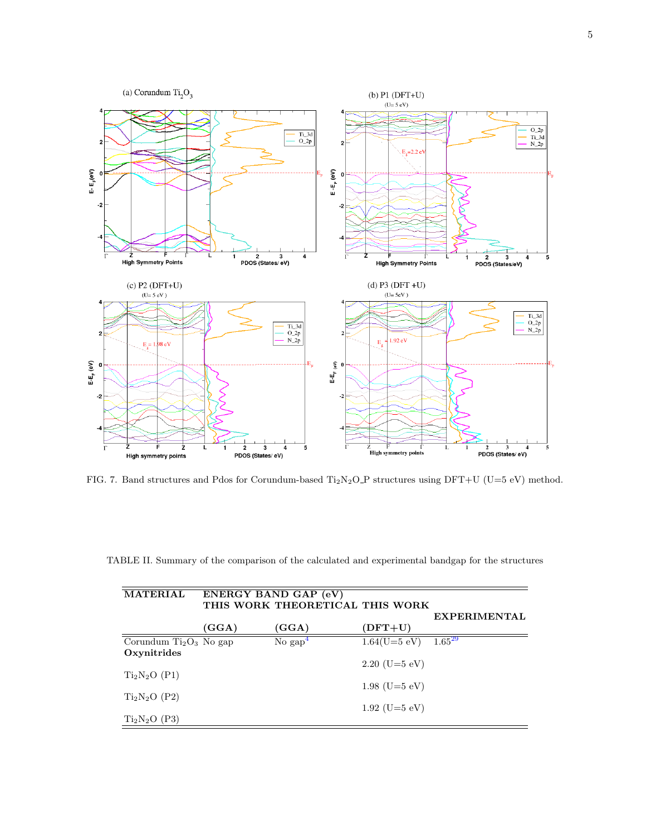

<span id="page-4-0"></span>FIG. 7. Band structures and Pdos for Corundum-based Ti<sub>2</sub>N<sub>2</sub>O<sub>-</sub>P structures using DFT+U (U=5 eV) method.

<span id="page-4-1"></span>

| <b>MATERIAL</b>                        |       | ENERGY BAND GAP (eV)<br>THIS WORK THEORETICAL THIS WORK |                 |                     |
|----------------------------------------|-------|---------------------------------------------------------|-----------------|---------------------|
|                                        | (GGA) | (GGA)                                                   | $(DFT+U)$       | <b>EXPERIMENTAL</b> |
| Corundum $Ti2O3$ No gap<br>Oxynitrides |       | No $\text{gap}^4$                                       | $1.64(U=5$ eV)  | $1.65^{29}$         |
| $Ti2N2O$ (P1)                          |       |                                                         | $2.20$ (U=5 eV) |                     |
| $Ti2N2O$ (P2)                          |       |                                                         | $1.98$ (U=5 eV) |                     |
| $Ti2N2O$ (P3)                          |       |                                                         | $1.92$ (U=5 eV) |                     |

TABLE II. Summary of the comparison of the calculated and experimental bandgap for the structures